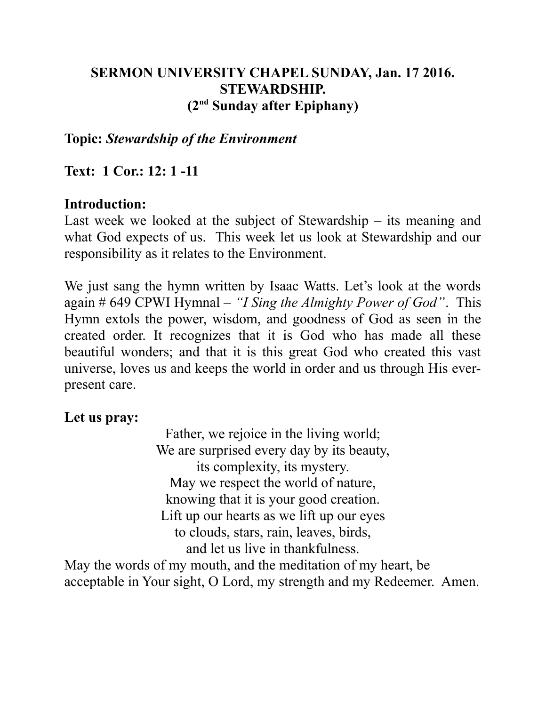# **SERMON UNIVERSITY CHAPEL SUNDAY, Jan. 17 2016. STEWARDSHIP. (2nd Sunday after Epiphany)**

## **Topic:** *Stewardship of the Environment*

## **Text: 1 Cor.: 12: 1 -11**

## **Introduction:**

Last week we looked at the subject of Stewardship – its meaning and what God expects of us. This week let us look at Stewardship and our responsibility as it relates to the Environment.

We just sang the hymn written by Isaac Watts. Let's look at the words again # 649 CPWI Hymnal – *"I Sing the Almighty Power of God"*. This Hymn extols the power, wisdom, and goodness of God as seen in the created order. It recognizes that it is God who has made all these beautiful wonders; and that it is this great God who created this vast universe, loves us and keeps the world in order and us through His everpresent care.

## **Let us pray:**

Father, we rejoice in the living world; We are surprised every day by its beauty, its complexity, its mystery. May we respect the world of nature, knowing that it is your good creation. Lift up our hearts as we lift up our eyes to clouds, stars, rain, leaves, birds, and let us live in thankfulness.

May the words of my mouth, and the meditation of my heart, be acceptable in Your sight, O Lord, my strength and my Redeemer. Amen.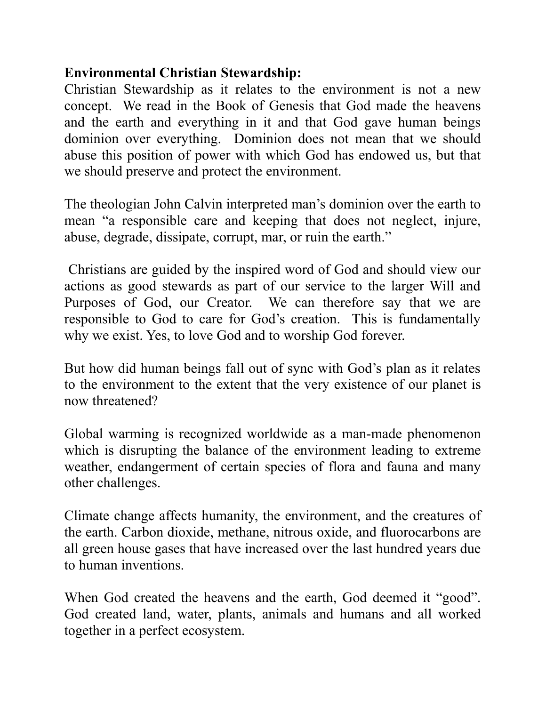# **Environmental Christian Stewardship:**

Christian Stewardship as it relates to the environment is not a new concept. We read in the Book of Genesis that God made the heavens and the earth and everything in it and that God gave human beings dominion over everything. Dominion does not mean that we should abuse this position of power with which God has endowed us, but that we should preserve and protect the environment.

The theologian John Calvin interpreted man's dominion over the earth to mean "a responsible care and keeping that does not neglect, injure, abuse, degrade, dissipate, corrupt, mar, or ruin the earth."

 Christians are guided by the inspired word of God and should view our actions as good stewards as part of our service to the larger Will and Purposes of God, our Creator. We can therefore say that we are responsible to God to care for God's creation. This is fundamentally why we exist. Yes, to love God and to worship God forever.

But how did human beings fall out of sync with God's plan as it relates to the environment to the extent that the very existence of our planet is now threatened?

Global warming is recognized worldwide as a man-made phenomenon which is disrupting the balance of the environment leading to extreme weather, endangerment of certain species of flora and fauna and many other challenges.

Climate change affects humanity, the environment, and the creatures of the earth. Carbon dioxide, methane, nitrous oxide, and fluorocarbons are all green house gases that have increased over the last hundred years due to human inventions.

When God created the heavens and the earth, God deemed it "good". God created land, water, plants, animals and humans and all worked together in a perfect ecosystem.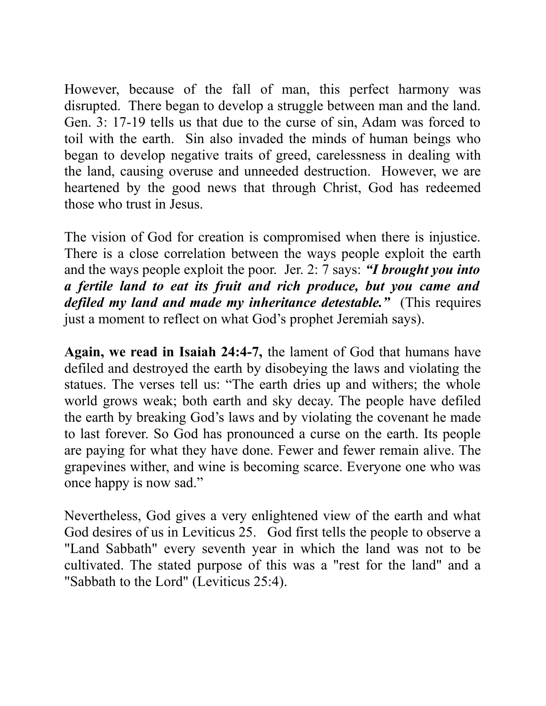However, because of the fall of man, this perfect harmony was disrupted. There began to develop a struggle between man and the land. Gen. 3: 17-19 tells us that due to the curse of sin, Adam was forced to toil with the earth. Sin also invaded the minds of human beings who began to develop negative traits of greed, carelessness in dealing with the land, causing overuse and unneeded destruction. However, we are heartened by the good news that through Christ, God has redeemed those who trust in Jesus.

The vision of God for creation is compromised when there is injustice. There is a close correlation between the ways people exploit the earth and the ways people exploit the poor. Jer. 2: 7 says: *"I brought you into a fertile land to eat its fruit and rich produce, but you came and defiled my land and made my inheritance detestable."* (This requires just a moment to reflect on what God's prophet Jeremiah says).

**Again, we read in Isaiah 24:4-7,** the lament of God that humans have defiled and destroyed the earth by disobeying the laws and violating the statues. The verses tell us: "The earth dries up and withers; the whole world grows weak; both earth and sky decay. The people have defiled the earth by breaking God's laws and by violating the covenant he made to last forever. So God has pronounced a curse on the earth. Its people are paying for what they have done. Fewer and fewer remain alive. The grapevines wither, and wine is becoming scarce. Everyone one who was once happy is now sad."

Nevertheless, God gives a very enlightened view of the earth and what God desires of us in Leviticus 25. God first tells the people to observe a "Land Sabbath" every seventh year in which the land was not to be cultivated. The stated purpose of this was a "rest for the land" and a "Sabbath to the Lord" [\(Leviticus 25:4\)](http://www.doesgodexist.org/cgi/bible.pl.cgi?psg=le25:4).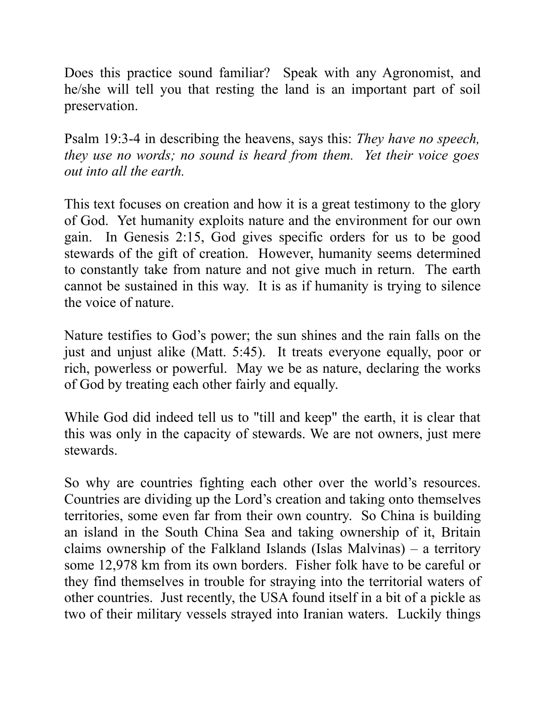Does this practice sound familiar? Speak with any Agronomist, and he/she will tell you that resting the land is an important part of soil preservation.

Psalm 19:3-4 in describing the heavens, says this: *They have no speech, they use no words; no sound is heard from them. Yet their voice goes out into all the earth.* 

This text focuses on creation and how it is a great testimony to the glory of God. Yet humanity exploits nature and the environment for our own gain. In Genesis 2:15, God gives specific orders for us to be good stewards of the gift of creation. However, humanity seems determined to constantly take from nature and not give much in return. The earth cannot be sustained in this way. It is as if humanity is trying to silence the voice of nature.

Nature testifies to God's power; the sun shines and the rain falls on the just and unjust alike (Matt. 5:45). It treats everyone equally, poor or rich, powerless or powerful. May we be as nature, declaring the works of God by treating each other fairly and equally.

While God did indeed tell us to "till and keep" the earth, it is clear that this was only in the capacity of stewards. We are not owners, just mere stewards.

So why are countries fighting each other over the world's resources. Countries are dividing up the Lord's creation and taking onto themselves territories, some even far from their own country. So China is building an island in the South China Sea and taking ownership of it, Britain claims ownership of the Falkland Islands (Islas Malvinas) – a territory some 12,978 km from its own borders. Fisher folk have to be careful or they find themselves in trouble for straying into the territorial waters of other countries. Just recently, the USA found itself in a bit of a pickle as two of their military vessels strayed into Iranian waters. Luckily things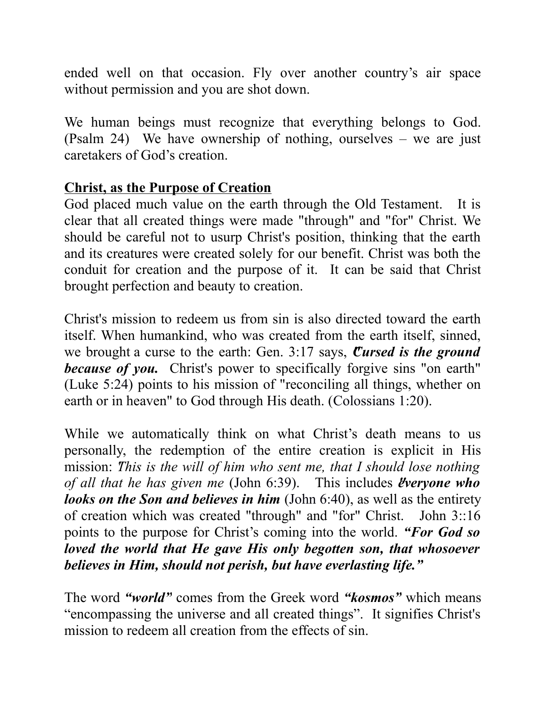ended well on that occasion. Fly over another country's air space without permission and you are shot down.

We human beings must recognize that everything belongs to God. (Psalm 24) We have ownership of nothing, ourselves – we are just caretakers of God's creation.

## **Christ, as the Purpose of Creation**

God placed much value on the earth through the Old Testament. It is clear that all created things were made "through" and "for" Christ. We should be careful not to usurp Christ's position, thinking that the earth and its creatures were created solely for our benefit. Christ was both the conduit for creation and the purpose of it. It can be said that Christ brought perfection and beauty to creation.

Christ's mission to redeem us from sin is also directed toward the earth itself. When humankind, who was created from the earth itself, sinned, we brought a curse to the earth: Gen. 3:17 says, *Cursed is the ground because of you.* Christ's power to specifically forgive sins "on earth" [\(Luke 5:24\)](http://www.doesgodexist.org/cgi/bible.pl.cgi?psg=lu5:24) points to his mission of "reconciling all things, whether on earth or in heaven" to God through His death. [\(Colossians 1:20\)](http://www.doesgodexist.org/cgi/bible.pl.cgi?psg=col1:20).

While we automatically think on what Christ's death means to us personally, the redemption of the entire creation is explicit in His mission: *This is the will of him who sent me, that I should lose nothing of all that he has given me [\(John 6:39\)](http://www.doesgodexist.org/cgi/bible.pl.cgi?psg=joh6:39).* This includes *everyone who looks on the Son and believes in him* [\(John 6:40\)](http://www.doesgodexist.org/cgi/bible.pl.cgi?psg=joh6:40), as well as the entirety of creation which was created "through" and "for" Christ. John 3::16 points to the purpose for Christ's coming into the world. *"For God so loved the world that He gave His only begotten son, that whosoever believes in Him, should not perish, but have everlasting life."*

The word *"world"* comes from the Greek word *"kosmos"* which means "encompassing the universe and all created things". It signifies Christ's mission to redeem all creation from the effects of sin.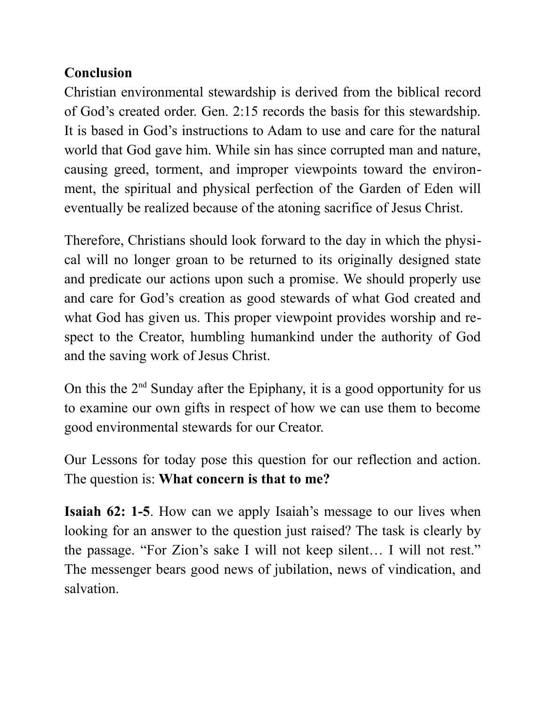# **Conclusion**

Christian environmental stewardship is derived from the biblical record of God's created order. Gen. 2:15 records the basis for this stewardship. It is based in God's instructions to Adam to use and care for the natural world that God gave him. While sin has since corrupted man and nature, causing greed, torment, and improper viewpoints toward the environment, the spiritual and physical perfection of the Garden of Eden will eventually be realized because of the atoning sacrifice of Jesus Christ.

Therefore, Christians should look forward to the day in which the physical will no longer groan to be returned to its originally designed state and predicate our actions upon such a promise. We should properly use and care for God's creation as good stewards of what God created and what God has given us. This proper viewpoint provides worship and respect to the Creator, humbling humankind under the authority of God and the saving work of Jesus Christ.

On this the  $2<sup>nd</sup>$  Sunday after the Epiphany, it is a good opportunity for us to examine our own gifts in respect of how we can use them to become good environmental stewards for our Creator.

Our Lessons for today pose this question for our reflection and action. The question is: **What concern is that to me?**

**Isaiah 62: 1-5**. How can we apply Isaiah's message to our lives when looking for an answer to the question just raised? The task is clearly by the passage. "For Zion's sake I will not keep silent… I will not rest." The messenger bears good news of jubilation, news of vindication, and salvation.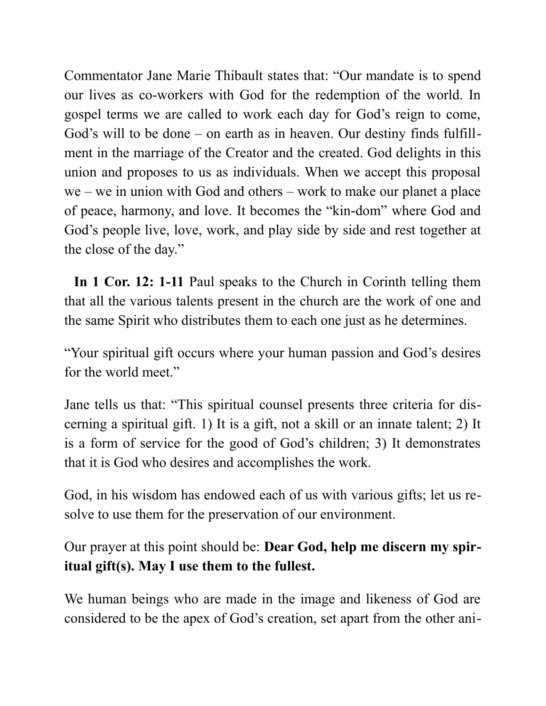Commentator Jane Marie Thibault states that: "Our mandate is to spend our lives as co-workers with God for the redemption of the world. In gospel terms we are called to work each day for God's reign to come, God's will to be done – on earth as in heaven. Our destiny finds fulfillment in the marriage of the Creator and the created. God delights in this union and proposes to us as individuals. When we accept this proposal we – we in union with God and others – work to make our planet a place of peace, harmony, and love. It becomes the "kin-dom" where God and God's people live, love, work, and play side by side and rest together at the close of the day."

 **In 1 Cor. 12: 1-11** Paul speaks to the Church in Corinth telling them that all the various talents present in the church are the work of one and the same Spirit who distributes them to each one just as he determines.

"Your spiritual gift occurs where your human passion and God's desires for the world meet."

Jane tells us that: "This spiritual counsel presents three criteria for discerning a spiritual gift. 1) It is a gift, not a skill or an innate talent; 2) It is a form of service for the good of God's children; 3) It demonstrates that it is God who desires and accomplishes the work.

God, in his wisdom has endowed each of us with various gifts; let us resolve to use them for the preservation of our environment.

Our prayer at this point should be: **Dear God, help me discern my spiritual gift(s). May I use them to the fullest.**

We human beings who are made in the image and likeness of God are considered to be the apex of God's creation, set apart from the other ani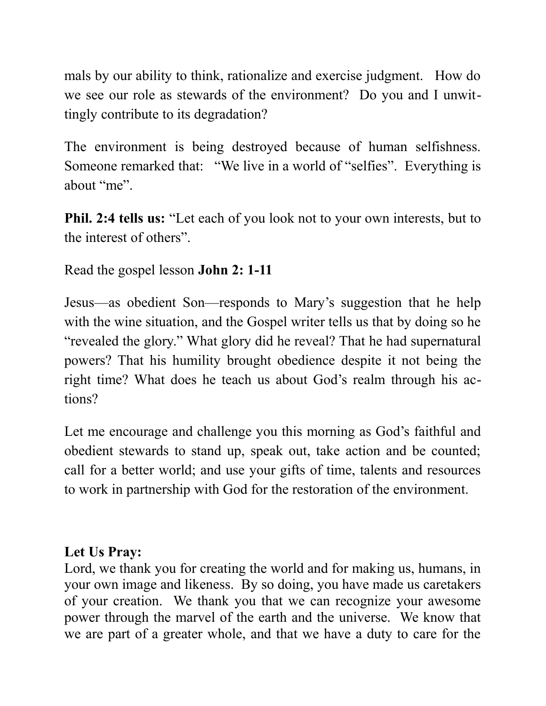mals by our ability to think, rationalize and exercise judgment. How do we see our role as stewards of the environment? Do you and I unwittingly contribute to its degradation?

The environment is being destroyed because of human selfishness. Someone remarked that: "We live in a world of "selfies". Everything is about "me".

**Phil. 2:4 tells us:** "Let each of you look not to your own interests, but to the interest of others".

Read the gospel lesson **John 2: 1-11**

Jesus—as obedient Son—responds to Mary's suggestion that he help with the wine situation, and the Gospel writer tells us that by doing so he "revealed the glory." What glory did he reveal? That he had supernatural powers? That his humility brought obedience despite it not being the right time? What does he teach us about God's realm through his actions?

Let me encourage and challenge you this morning as God's faithful and obedient stewards to stand up, speak out, take action and be counted; call for a better world; and use your gifts of time, talents and resources to work in partnership with God for the restoration of the environment.

## **Let Us Pray:**

Lord, we thank you for creating the world and for making us, humans, in your own image and likeness. By so doing, you have made us caretakers of your creation. We thank you that we can recognize your awesome power through the marvel of the earth and the universe. We know that we are part of a greater whole, and that we have a duty to care for the